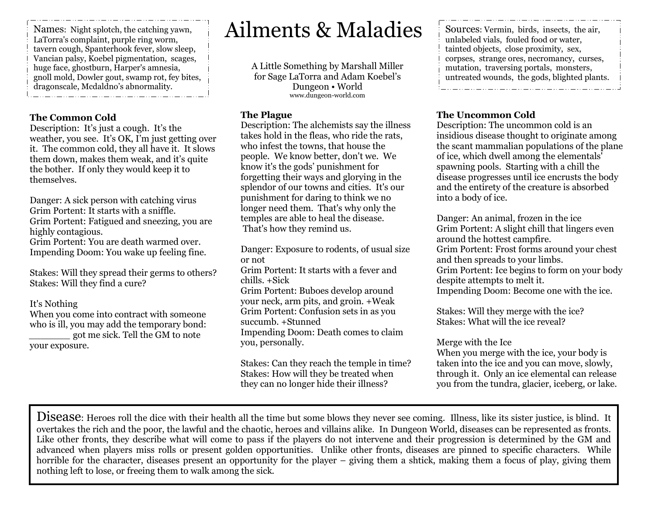Names: Night splotch, the catching yawn, LaTorra's complaint, purple ring worm, tavern cough, Spanterhook fever, slow sleep, Vancian palsy, Koebel pigmentation, scages, huge face, ghostburn, Harper's amnesia, gnoll mold, Dowler gout, swamp rot, fey bites, dragonscale, Mcdaldno's abnormality. 

#### The Common Cold

 Description: It's just a cough. It's the weather, you see. It's OK, I'm just getting over it. The common cold, they all have it. It slows them down, makes them weak, and it's quite the bother. If only they would keep it to themselves.

Danger: A sick person with catching virus Grim Portent: It starts with a sniffle. Grim Portent: Fatigued and sneezing, you are highly contagious. Grim Portent: You are death warmed over. Impending Doom: You wake up feeling fine.

Stakes: Will they spread their germs to others? Stakes: Will they find a cure?

#### It's Nothing

 When you come into contract with someone who is ill, you may add the temporary bond: \_\_\_\_\_\_\_ got me sick. Tell the GM to note your exposure.

# Ailments & Maladies

A Little Something by Marshall Miller for Sage LaTorra and Adam Koebel's Dungeon • World www.dungeon-world.com

#### The Plague

 Description: The alchemists say the illness takes hold in the fleas, who ride the rats, who infest the towns, that house the people. We know better, don't we. We know it's the gods' punishment for forgetting their ways and glorying in the splendor of our towns and cities. It's our punishment for daring to think we no longer need them. That's why only the temples are able to heal the disease. That's how they remind us.

Danger: Exposure to rodents, of usual size or not Grim Portent: It starts with a fever and chills. +Sick Grim Portent: Buboes develop around your neck, arm pits, and groin. +Weak Grim Portent: Confusion sets in as you succumb. +Stunned Impending Doom: Death comes to claim you, personally.

Stakes: Can they reach the temple in time? Stakes: How will they be treated when they can no longer hide their illness?

 Sources: Vermin, birds, insects, the air, unlabeled vials, fouled food or water, tainted objects, close proximity, sex, corpses, strange ores, necromancy, curses, mutation, traversing portals, monsters, untreated wounds, the gods, blighted plants. 

#### The Uncommon Cold

 Description: The uncommon cold is an insidious disease thought to originate among the scant mammalian populations of the plane of ice, which dwell among the elementals' spawning pools. Starting with a chill the disease progresses until ice encrusts the body and the entirety of the creature is absorbed into a body of ice.

Danger: An animal, frozen in the ice Grim Portent: A slight chill that lingers even around the hottest campfire. Grim Portent: Frost forms around your chest and then spreads to your limbs. Grim Portent: Ice begins to form on your body despite attempts to melt it. Impending Doom: Become one with the ice.

Stakes: Will they merge with the ice? Stakes: What will the ice reveal?

#### Merge with the Ice

 When you merge with the ice, your body is taken into the ice and you can move, slowly, through it. Only an ice elemental can release you from the tundra, glacier, iceberg, or lake.

Disease: Heroes roll the dice with their health all the time but some blows they never see coming. Illness, like its sister justice, is blind. It overtakes the rich and the poor, the lawful and the chaotic, heroes and villains alike. In Dungeon World, diseases can be represented as fronts. Like other fronts, they describe what will come to pass if the players do not intervene and their progression is determined by the GM and advanced when players miss rolls or present golden opportunities. Unlike other fronts, diseases are pinned to specific characters. While horrible for the character, diseases present an opportunity for the player – giving them a shtick, making them a focus of play, giving them nothing left to lose, or freeing them to walk among the sick.